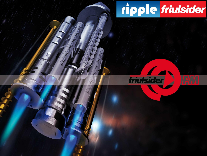# ripple friulsider



**http://www.rippleindia.in** Ripple Construction Products Pvt Ltd **27 September 2014 1**

 $111111$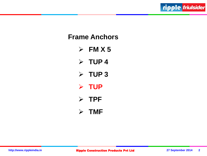

## **Frame Anchors**

- $\triangleright$  FM X 5
- $>$  TUP 4
- $\triangleright$  TUP 3
- **TUP**
- **TPF**
- **TMF**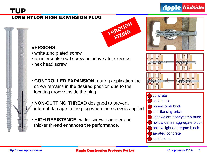

#### LONG NYLON HIGH EXPANSION PLUG











#### **VERSIONS:**

- white zinc plated screw
- countersunk head screw pozidrive / torx recess;
- hex head screw
- **CONTROLLED EXPANSION:** during application the screw remains in the desired position due to the locating groove inside the plug.
- **NON-CUTTING THREAD** designed to prevent internal damage to the plug when the screw is applied
- **HIGH RESISTANCE:** wider screw diameter and thicker thread enhances the performance.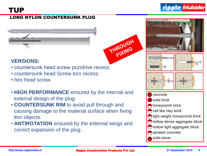#### LONG NYLON COUNTERSUNK PLUG





### **VERSIONS:**

- countersunk head screw pozidrive recess;
- countersunk head Screw torx recess;
- hex head screw.
- **HIGH PERFORMANCE** ensured by the internal and external design of the plug.
- **COUNTERSUNK RIM** to avoid pull through and causing damage to the material surface when fixing thin objects.
- **ANTIROTATION** ensured by the external wings and correct expansion of the plug.







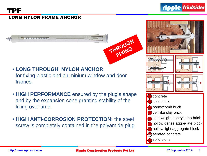#### LONG NYLON FRAME ANCHOR TPF





ripple *friulsider* 









- **LONG THROUGH NYLON ANCHOR** for fixing plastic and aluminium window and door frames.
- **HIGH PERFORMANCE** ensured by the plug's shape and by the expansion cone granting stability of the fixing over time.
- **HIGH ANTI-CORROSION PROTECTION:** the steel screw is completely contained in the polyamide plug.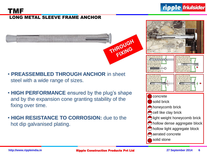

#### LONG METAL SLEEVE FRAME ANCHOR TMF









- **PREASSEMBLED THROUGH ANCHOR** in sheet steel with a wide range of sizes.
- **HIGH PERFORMANCE** ensured by the plug's shape and by the expansion cone granting stability of the fixing over time.
- **HIGH RESISTANCE TO CORROSION:** due to the hot dip galvanised plating.